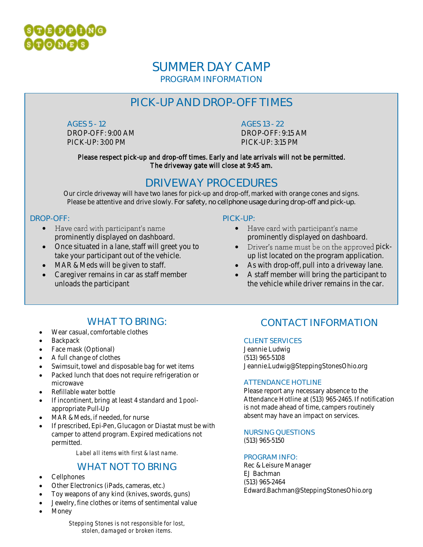

### **SUMMER DAY CAMP** PROGRAM INFORMATION

# **PICK-UP AND DROP-OFF TIMES**

**AGES 5 - 12** DROP-OFF: 9:00 AM PICK-UP: 3:00 PM

**AGES 13 - 22**

DROP-OFF: 9:15 AM PICK-UP: 3:15 PM

Please respect pick-up and drop-off times. Early and late arrivals will not be permitted. The driveway gate will close at 9:45 am.

### **DRIVEWAY PROCEDURES**

Our circle driveway will have two lanes for pick-up and drop-off, marked with orange cones and signs. Please be attentive and drive slowly. **For safety, no cellphone usage during drop-off and pick-up.**

#### **DROP-OFF:**

- Have card with participant's name prominently displayed on dashboard.
- Once situated in a lane, staff will greet you to take your participant out of the vehicle.
- MAR & Meds will be given to staff.
- Caregiver remains in car as staff member unloads the participant

#### **PICK-UP:**

- Have card with participant's name prominently displayed on dashboard.
- Driver's name must be on the approved pickup list located on the program application.
- As with drop-off, pull into a driveway lane.
- A staff member will bring the participant to the vehicle while driver remains in the car.

### **WHAT TO BRING:**

- Wear casual, comfortable clothes
- **Backpack**
- Face mask (Optional)
- A full change of clothes
- Swimsuit, towel and disposable bag for wet items
- Packed lunch that does not require refrigeration or microwave
- Refillable water bottle
- If incontinent, bring at least 4 standard and 1 poolappropriate Pull-Up
- MAR & Meds, if needed, for nurse
- If prescribed, Epi-Pen, Glucagon or Diastat must be with camper to attend program. Expired medications not permitted.

*Label all items with first & last name.*

### **WHAT NOT TO BRING**

- Cellphones
- Other Electronics (iPads, cameras, etc.)
- Toy weapons of any kind (knives, swords, guns)
- Jewelry, fine clothes or items of sentimental value
- Money

# **CONTACT INFORMATION**

#### **CLIENT SERVICES**

Jeannie Ludwig (513) 965-5108 Jeannie.Ludwig@SteppingStonesOhio.org

#### **ATTENDANCE HOTLINE**

Please report any necessary absence to the Attendance Hotline at (513) 965-2465. If notification is not made ahead of time, campers routinely absent may have an impact on services.

#### **NURSING QUESTIONS**

(513) 965-5150

#### **PROGRAM INFO:**

Rec & Leisure Manager EJ Bachman (513) 965-2464 Edward.Bachman@SteppingStonesOhio.org

*Stepping Stones is not responsible for lost, stolen, damaged or broken items.*